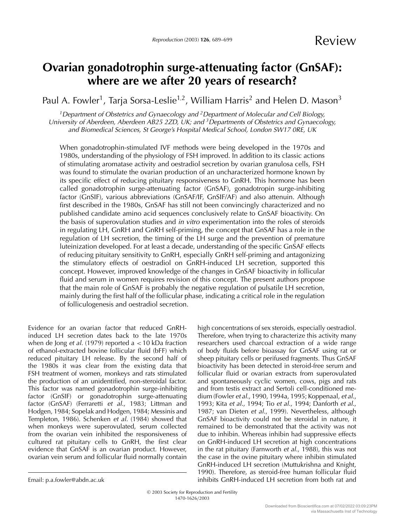# **Ovarian gonadotrophin surge-attenuating factor (GnSAF): where are we after 20 years of research?**

Paul A. Fowler<sup>1</sup>, Tarja Sorsa-Leslie<sup>1,2</sup>, William Harris<sup>2</sup> and Helen D. Mason<sup>3</sup>

<sup>1</sup>Department of Obstetrics and Gynaecology and <sup>2</sup>Department of Molecular and Cell Biology, University of Aberdeen, Aberdeen AB25 2ZD, UK; and  $3$  Departments of Obstetrics and Gynaecology, and Biomedical Sciences, St George's Hospital Medical School, London SW17 0RE, UK

When gonadotrophin-stimulated IVF methods were being developed in the 1970s and 1980s, understanding of the physiology of FSH improved. In addition to its classic actions of stimulating aromatase activity and oestradiol secretion by ovarian granulosa cells, FSH was found to stimulate the ovarian production of an uncharacterized hormone known by its specific effect of reducing pituitary responsiveness to GnRH. This hormone has been called gonadotrophin surge-attenuating factor (GnSAF), gonadotropin surge-inhibiting factor (GnSIF), various abbreviations (GnSAF/IF, GnSIF/AF) and also attenuin. Although first described in the 1980s, GnSAF has still not been convincingly characterized and no published candidate amino acid sequences conclusively relate to GnSAF bioactivity. On the basis of superovulation studies and in vitro experimentation into the roles of steroids in regulating LH, GnRH and GnRH self-priming, the concept that GnSAF has a role in the regulation of LH secretion, the timing of the LH surge and the prevention of premature luteinization developed. For at least a decade, understanding of the specific GnSAF effects of reducing pituitary sensitivity to GnRH, especially GnRH self-priming and antagonizing the stimulatory effects of oestradiol on GnRH-induced LH secretion, supported this concept. However, improved knowledge of the changes in GnSAF bioactivity in follicular fluid and serum in women requires revision of this concept. The present authors propose that the main role of GnSAF is probably the negative regulation of pulsatile LH secretion, mainly during the first half of the follicular phase, indicating a critical role in the regulation of folliculogenesis and oestradiol secretion.

Evidence for an ovarian factor that reduced GnRHinduced LH secretion dates back to the late 1970s when de Jong et al. (1979) reported a  $<$  10 kDa fraction of ethanol-extracted bovine follicular fluid (bFF) which reduced pituitary LH release. By the second half of the 1980s it was clear from the existing data that FSH treatment of women, monkeys and rats stimulated the production of an unidentified, non-steroidal factor. This factor was named gonadotrophin surge-inhibiting factor (GnSIF) or gonadotrophin surge-attenuating factor (GnSAF) (Ferraretti et al., 1983; Littman and Hodgen, 1984; Sopelak and Hodgen, 1984; Messinis and Templeton, 1986). Schenken et al. (1984) showed that when monkeys were superovulated, serum collected from the ovarian vein inhibited the responsiveness of cultured rat pituitary cells to GnRH, the first clear evidence that GnSAF is an ovarian product. However, ovarian vein serum and follicular fluid normally contain high concentrations of sex steroids, especially oestradiol. Therefore, when trying to characterize this activity many researchers used charcoal extraction of a wide range of body fluids before bioassay for GnSAF using rat or sheep pituitary cells or perifused fragments. Thus GnSAF bioactivity has been detected in steroid-free serum and follicular fluid or ovarian extracts from superovulated and spontaneously cyclic women, cows, pigs and rats and from testis extract and Sertoli cell-conditioned medium (Fowler et al., 1990, 1994a, 1995; Koppenaal, et al., 1993; Kita et al., 1994; Tio et al., 1994; Danforth et al., 1987; van Dieten et al., 1999). Nevertheless, although GnSAF bioactivity could not be steroidal in nature, it remained to be demonstrated that the activity was not due to inhibin. Whereas inhibin had suppressive effects on GnRH-induced LH secretion at high concentrations in the rat pituitary (Farnworth et al., 1988), this was not the case in the ovine pituitary where inhibin stimulated GnRH-induced LH secretion (Muttukrishna and Knight, 1990). Therefore, as steroid-free human follicular fluid inhibits GnRH-induced LH secretion from both rat and

Email: p.a.fowler@abdn.ac.uk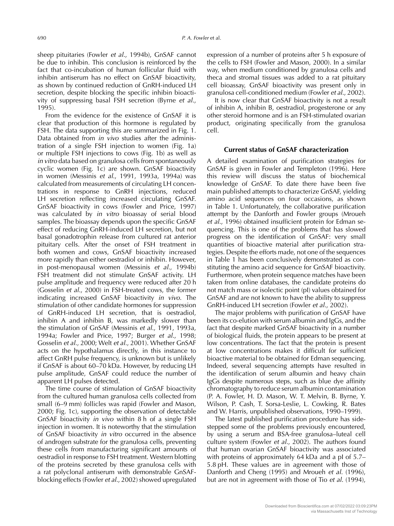sheep pituitaries (Fowler et al., 1994b), GnSAF cannot be due to inhibin. This conclusion is reinforced by the fact that co-incubation of human follicular fluid with inhibin antiserum has no effect on GnSAF bioactivity, as shown by continued reduction of GnRH-induced LH secretion, despite blocking the specific inhibin bioactivity of suppressing basal FSH secretion (Byrne et al., 1995).

From the evidence for the existence of GnSAF it is clear that production of this hormone is regulated by FSH. The data supporting this are summarized in Fig. 1. Data obtained from in vivo studies after the administration of a single FSH injection to women (Fig. 1a) or multiple FSH injections to cows (Fig. 1b) as well as in vitro data based on granulosa cells from spontaneously cyclic women (Fig. 1c) are shown. GnSAF bioactivity in women (Messinis et al., 1991, 1993a, 1994a) was calculated from measurements of circulating LH concentrations in response to GnRH injections, reduced LH secretion reflecting increased circulating GnSAF. GnSAF bioactivity in cows (Fowler and Price, 1997) was calculated by in vitro bioassay of serial blood samples. The bioassay depends upon the specific GnSAF effect of reducing GnRH-induced LH secretion, but not basal gonadotrophin release from cultured rat anterior pituitary cells. After the onset of FSH treatment in both women and cows, GnSAF bioactivity increased more rapidly than either oestradiol or inhibin. However, in post-menopausal women (Messinis et al., 1994b) FSH treatment did not stimulate GnSAF activity. LH pulse amplitude and frequency were reduced after 20 h (Gosselin et al., 2000) in FSH-treated cows, the former indicating increased GnSAF bioactivity in vivo. The stimulation of other candidate hormones for suppression of GnRH-induced LH secretion, that is oestradiol, inhibin A and inhibin B, was markedly slower than the stimulation of GnSAF (Messinis et al., 1991, 1993a, 1994a; Fowler and Price, 1997; Burger et al., 1998; Gosselin et al., 2000; Welt et al., 2001). Whether GnSAF acts on the hypothalamus directly, in this instance to affect GnRH pulse frequency, is unknown but is unlikely if GnSAF is about 60–70 kDa. However, by reducing LH pulse amplitude, GnSAF could reduce the number of apparent LH pulses detected.

The time course of stimulation of GnSAF bioactivity from the cultured human granulosa cells collected from small (6–9 mm) follicles was rapid (Fowler and Mason, 2000; Fig. 1c), supporting the observation of detectable GnSAF bioactivity in vivo within 8 h of a single FSH injection in women. It is noteworthy that the stimulation of GnSAF bioactivity in vitro occurred in the absence of androgen substrate for the granulosa cells, preventing these cells from manufacturing significant amounts of oestradiol in response to FSH treatment. Western blotting of the proteins secreted by these granulosa cells with a rat polyclonal antiserum with demonstrable GnSAFblocking effects (Fowler et al., 2002) showed upregulated

expression of a number of proteins after 5 h exposure of the cells to FSH (Fowler and Mason, 2000). In a similar way, when medium conditioned by granulosa cells and theca and stromal tissues was added to a rat pituitary cell bioassay, GnSAF bioactivity was present only in granulosa cell-conditioned medium (Fowler et al., 2002).

It is now clear that GnSAF bioactivity is not a result of inhibin A, inhibin B, oestradiol, progesterone or any other steroid hormone and is an FSH-stimulated ovarian product, originating specifically from the granulosa cell.

## **Current status of GnSAF characterization**

A detailed examination of purification strategies for GnSAF is given in Fowler and Templeton (1996). Here this review will discuss the status of biochemical knowledge of GnSAF. To date there have been five main published attempts to characterize GnSAF, yielding amino acid sequences on four occasions, as shown in Table 1. Unfortunately, the collaborative purification attempt by the Danforth and Fowler groups (Mroueh et al., 1996) obtained insufficient protein for Edman sequencing. This is one of the problems that has slowed progress on the identification of GnSAF: very small quantities of bioactive material after purification strategies. Despite the efforts made, not one of the sequences in Table 1 has been conclusively demonstrated as constituting the amino acid sequence for GnSAF bioactivity. Furthermore, when protein sequence matches have been taken from online databases, the candidate proteins do not match mass or isolectic point (pI) values obtained for GnSAF and are not known to have the ability to suppress GnRH-induced LH secretion (Fowler et al., 2002).

The major problems with purification of GnSAF have been its co-elution with serum albumin and IgGs, and the fact that despite marked GnSAF bioactivity in a number of biological fluids, the protein appears to be present at low concentrations. The fact that the protein is present at low concentrations makes it difficult for sufficient bioactive material to be obtained for Edman sequencing. Indeed, several sequencing attempts have resulted in the identification of serum albumin and heavy chain IgGs despite numerous steps, such as blue dye affinity chromatography to reduce serum albumin contamination (P. A. Fowler, H. D. Mason, W. T. Melvin, B. Byrne, Y. Wilson, P. Cash, T. Sorsa-Leslie, L. Cowking, R. Bates and W. Harris, unpublished observations, 1990–1999).

The latest published purification procedure has sidestepped some of the problems previously encountered, by using a serum and BSA-free granulosa–luteal cell culture system (Fowler et al., 2002). The authors found that human ovarian GnSAF bioactivity was associated with proteins of approximately 64 kDa and a pI of 5.7– 5.8 pH. These values are in agreement with those of Danforth and Cheng (1995) and Mroueh et al. (1996), but are not in agreement with those of Tio et al. (1994),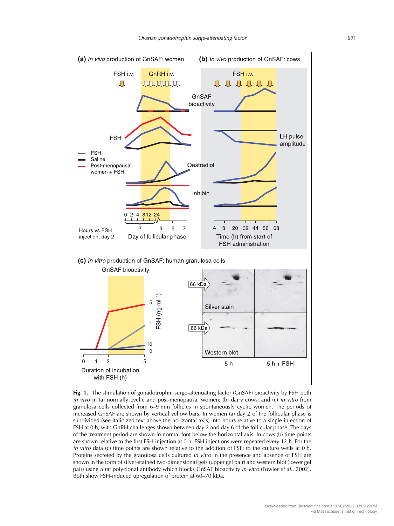

**Fig. 1.** The stimulation of gonadotrophin surge-attenuating factor (GnSAF) bioactivity by FSH both in vivo in (a) normally cyclic and post-menopausal women; (b) dairy cows; and (c) in vitro from granulosa cells collected from 6–9 mm follicles in spontaneously cyclic women. The periods of increased GnSAF are shown by vertical yellow bars. In women (a) day 2 of the follicular phase is subdivided (see italicized text above the horizontal axis) into hours relative to a single injection of FSH at 0 h, with GnRH challenges shown between day 2 and day 6 of the follicular phase. The days of the treatment period are shown in normal font below the horizontal axis. In cows (b) time points are shown relative to the first FSH injection at 0 h. FSH injections were repeated every 12 h. For the in vitro data (c) time points are shown relative to the addition of FSH to the culture wells at 0 h. Proteins secreted by the granulosa cells cultured *in vitro* in the presence and absence of FSH are shown in the form of silver-stained two-dimensional gels (upper gel pair) and western blot (lower gel pair) using a rat polyclonal antibody which blocks GnSAF bioactivity in vitro (Fowler et al., 2002). Both show FSH-induced upregulation of protein at 60–70 kDa.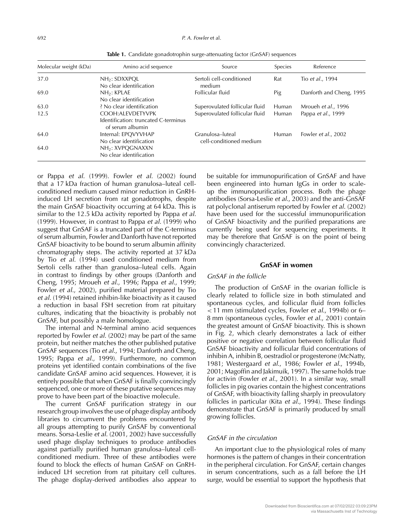| Molecular weight (kDa) | Amino acid sequence                                                           | Source                                      | Species | Reference                  |
|------------------------|-------------------------------------------------------------------------------|---------------------------------------------|---------|----------------------------|
| 37.0                   | $NH_2$ : SDXXPOL<br>No clear identification                                   | Sertoli cell-conditioned<br>medium          | Rat     | Tio et al., 1994           |
| 69.0                   | NH <sub>2</sub> : KPLAE<br>No clear identification                            | Follicular fluid                            | Pig     | Danforth and Cheng, 1995   |
| 63.0                   | ? No clear identification                                                     | Superovulated follicular fluid              | Human   | Mroueh et al., 1996        |
| 12.5                   | COOH: ALEVDETYVPK<br>Identification: truncated C-terminus<br>of serum albumin | Superovulated follicular fluid              | Human   | Pappa <i>et al.</i> , 1999 |
| 64.0                   | Internal: EPQVYVHAP<br>No clear identification                                | Granulosa-luteal<br>cell-conditioned medium | Human   | Fowler et al., 2002        |
| 64.0                   | NH <sub>2</sub> : XVPOGNAXXN<br>No clear identification                       |                                             |         |                            |

**Table 1.** Candidate gonadotrophin surge-attenuating factor (GnSAF) sequences

or Pappa et al. (1999). Fowler et al. (2002) found that a 17 kDa fraction of human granulosa–luteal cellconditioned medium caused minor reduction in GnRHinduced LH secretion from rat gonadotrophs, despite the main GnSAF bioactivity occurring at 64 kDa. This is similar to the 12.5 kDa activity reported by Pappa et al. (1999). However, in contrast to Pappa et al. (1999) who suggest that GnSAF is a truncated part of the C-terminus of serum albumin, Fowler and Danforth have not reported GnSAF bioactivity to be bound to serum albumin affinity chromatography steps. The activity reported at 37 kDa by Tio et al. (1994) used conditioned medium from Sertoli cells rather than granulosa–luteal cells. Again in contrast to findings by other groups (Danforth and Cheng, 1995; Mroueh et al., 1996; Pappa et al., 1999; Fowler et al., 2002), purified material prepared by Tio et al. (1994) retained inhibin-like bioactivity as it caused a reduction in basal FSH secretion from rat pituitary cultures, indicating that the bioactivity is probably not GnSAF, but possibly a male homologue.

The internal and N-terminal amino acid sequences reported by Fowler et al. (2002) may be part of the same protein, but neither matches the other published putative GnSAF sequences (Tio et al., 1994; Danforth and Cheng, 1995; Pappa et al., 1999). Furthermore, no common proteins yet identified contain combinations of the five candidate GnSAF amino acid sequences. However, it is entirely possible that when GnSAF is finally convincingly sequenced, one or more of these putative sequences may prove to have been part of the bioactive molecule.

The current GnSAF purification strategy in our research group involves the use of phage display antibody libraries to circumvent the problems encountered by all groups attempting to purify GnSAF by conventional means. Sorsa-Leslie et al. (2001, 2002) have successfully used phage display techniques to produce antibodies against partially purified human granulosa–luteal cellconditioned medium. Three of these antibodies were found to block the effects of human GnSAF on GnRHinduced LH secretion from rat pituitary cell cultures. The phage display-derived antibodies also appear to be suitable for immunopurification of GnSAF and have been engineered into human IgGs in order to scaleup the immunopurification process. Both the phage antibodies (Sorsa-Leslie et al., 2003) and the anti-GnSAF rat polyclonal antiserum reported by Fowler et al. (2002) have been used for the successful immunopurification of GnSAF bioactivity and the purified preparations are currently being used for sequencing experiments. It may be therefore that GnSAF is on the point of being convincingly characterized.

## **GnSAF in women**

#### GnSAF in the follicle

The production of GnSAF in the ovarian follicle is clearly related to follicle size in both stimulated and spontaneous cycles, and follicular fluid from follicles <11 mm (stimulated cycles, Fowler et al., 1994b) or 6– 8 mm (spontaneous cycles, Fowler et al., 2001) contain the greatest amount of GnSAF bioactivity. This is shown in Fig. 2, which clearly demonstrates a lack of either positive or negative correlation between follicular fluid GnSAF bioactivity and follicular fluid concentrations of inhibin A, inhibin B, oestradiol or progesterone (McNatty, 1981; Westergaard et al., 1986; Fowler et al., 1994b, 2001; Magoffin and Jakimuik, 1997). The same holds true for activin (Fowler et al., 2001). In a similar way, small follicles in pig ovaries contain the highest concentrations of GnSAF, with bioactivity falling sharply in preovulatory follicles in particular (Kita et al., 1994). These findings demonstrate that GnSAF is primarily produced by small growing follicles.

#### GnSAF in the circulation

An important clue to the physiological roles of many hormones is the pattern of changes in their concentration in the peripheral circulation. For GnSAF, certain changes in serum concentrations, such as a fall before the LH surge, would be essential to support the hypothesis that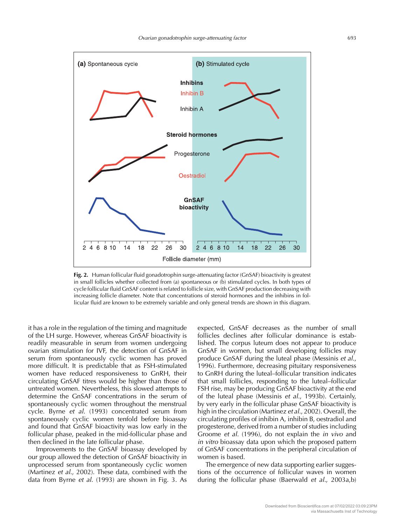

**Fig. 2.** Human follicular fluid gonadotrophin surge-attenuating factor (GnSAF) bioactivity is greatest in small follicles whether collected from (a) spontaneous or (b) stimulated cycles. In both types of cycle follicular fluid GnSAF content is related to follicle size, with GnSAF production decreasing with increasing follicle diameter. Note that concentrations of steroid hormones and the inhibins in follicular fluid are known to be extremely variable and only general trends are shown in this diagram.

it has a role in the regulation of the timing and magnitude of the LH surge. However, whereas GnSAF bioactivity is readily measurable in serum from women undergoing ovarian stimulation for IVF, the detection of GnSAF in serum from spontaneously cyclic women has proved more difficult. It is predictable that as FSH-stimulated women have reduced responsiveness to GnRH, their circulating GnSAF titres would be higher than those of untreated women. Nevertheless, this slowed attempts to determine the GnSAF concentrations in the serum of spontaneously cyclic women throughout the menstrual cycle. Byrne et al. (1993) concentrated serum from spontaneously cyclic women tenfold before bioassay and found that GnSAF bioactivity was low early in the follicular phase, peaked in the mid-follicular phase and then declined in the late follicular phase.

Improvements to the GnSAF bioassay developed by our group allowed the detection of GnSAF bioactivity in unprocessed serum from spontaneously cyclic women (Martinez et al., 2002). These data, combined with the data from Byrne et al. (1993) are shown in Fig. 3. As

expected, GnSAF decreases as the number of small follicles declines after follicular dominance is established. The corpus luteum does not appear to produce GnSAF in women, but small developing follicles may produce GnSAF during the luteal phase (Messinis et al., 1996). Furthermore, decreasing pituitary responsiveness to GnRH during the luteal–follicular transition indicates that small follicles, responding to the luteal–follicular FSH rise, may be producing GnSAF bioactivity at the end of the luteal phase (Messinis et al., 1993b). Certainly, by very early in the follicular phase GnSAF bioactivity is high in the circulation (Martinez et al., 2002). Overall, the circulating profiles of inhibin A, inhibin B, oestradiol and progesterone, derived from a number of studies including Groome et al. (1996), do not explain the in vivo and in vitro bioassay data upon which the proposed pattern of GnSAF concentrations in the peripheral circulation of women is based.

The emergence of new data supporting earlier suggestions of the occurrence of follicular waves in women during the follicular phase (Baerwald et al., 2003a,b)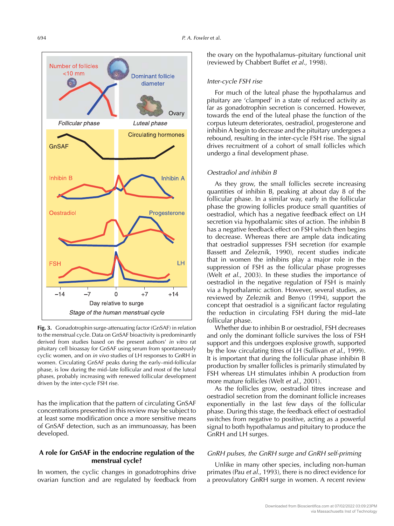

**Fig. 3.** Gonadotrophin surge-attenuating factor (GnSAF) in relation to the menstrual cycle. Data on GnSAF bioactivity is predominantly derived from studies based on the present authors' in vitro rat pituitary cell bioassay for GnSAF using serum from spontaneously cyclic women, and on in vivo studies of LH responses to GnRH in women. Circulating GnSAF peaks during the early–mid-follicular phase, is low during the mid–late follicular and most of the luteal phases, probably increasing with renewed follicular development driven by the inter-cycle FSH rise.

has the implication that the pattern of circulating GnSAF concentrations presented in this review may be subject to at least some modification once a more sensitive means of GnSAF detection, such as an immunoassay, has been developed.

# **A role for GnSAF in the endocrine regulation of the menstrual cycle?**

In women, the cyclic changes in gonadotrophins drive ovarian function and are regulated by feedback from the ovary on the hypothalamus–pituitary functional unit (reviewed by Chabbert Buffet et al., 1998).

### Inter-cycle FSH rise

For much of the luteal phase the hypothalamus and pituitary are 'clamped' in a state of reduced activity as far as gonadotrophin secretion is concerned. However, towards the end of the luteal phase the function of the corpus luteum deteriorates, oestradiol, progesterone and inhibin A begin to decrease and the pituitary undergoes a rebound, resulting in the inter-cycle FSH rise. The signal drives recruitment of a cohort of small follicles which undergo a final development phase.

### Oestradiol and inhibin B

As they grow, the small follicles secrete increasing quantities of inhibin B, peaking at about day 8 of the follicular phase. In a similar way, early in the follicular phase the growing follicles produce small quantities of oestradiol, which has a negative feedback effect on LH secretion via hypothalamic sites of action. The inhibin B has a negative feedback effect on FSH which then begins to decrease. Whereas there are ample data indicating that oestradiol suppresses FSH secretion (for example Bassett and Zeleznik, 1990), recent studies indicate that in women the inhibins play a major role in the suppression of FSH as the follicular phase progresses (Welt et al., 2003). In these studies the importance of oestradiol in the negative regulation of FSH is mainly via a hypothalamic action. However, several studies, as reviewed by Zeleznik and Benyo (1994), support the concept that oestradiol is a significant factor regulating the reduction in circulating FSH during the mid–late follicular phase.

Whether due to inhibin B or oestradiol, FSH decreases and only the dominant follicle survives the loss of FSH support and this undergoes explosive growth, supported by the low circulating titres of LH (Sullivan et al., 1999). It is important that during the follicular phase inhibin B production by smaller follicles is primarily stimulated by FSH whereas LH stimulates inhibin A production from more mature follicles (Welt et al., 2001).

As the follicles grow, oestradiol titres increase and oestradiol secretion from the dominant follicle increases exponentially in the last few days of the follicular phase. During this stage, the feedback effect of oestradiol switches from negative to positive, acting as a powerful signal to both hypothalamus and pituitary to produce the GnRH and LH surges.

## GnRH pulses, the GnRH surge and GnRH self-priming

Unlike in many other species, including non-human primates (Pau et al., 1993), there is no direct evidence for a preovulatory GnRH surge in women. A recent review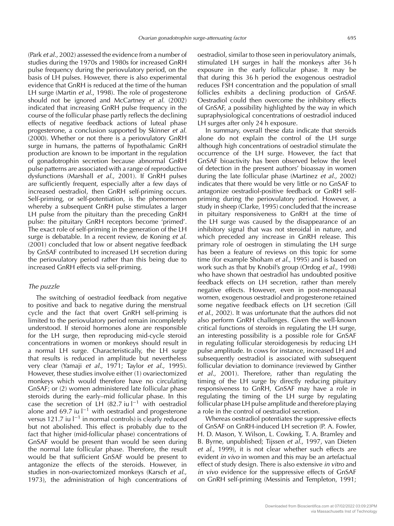(Park et al., 2002) assessed the evidence from a number of studies during the 1970s and 1980s for increased GnRH pulse frequency during the periovulatory period, on the basis of LH pulses. However, there is also experimental evidence that GnRH is reduced at the time of the human LH surge (Martin *et al.*, 1998). The role of progesterone should not be ignored and McCartney et al. (2002) indicated that increasing GnRH pulse frequency in the course of the follicular phase partly reflects the declining effects of negative feedback actions of luteal phase progesterone, a conclusion supported by Skinner et al. (2000). Whether or not there is a periovulatory GnRH surge in humans, the patterns of hypothalamic GnRH production are known to be important in the regulation of gonadotrophin secretion because abnormal GnRH pulse patterns are associated with a range of reproductive dysfunctions (Marshall et al., 2001). If GnRH pulses are sufficiently frequent, especially after a few days of increased oestradiol, then GnRH self-priming occurs. Self-priming, or self-potentiation, is the phenomenon whereby a subsequent GnRH pulse stimulates a larger LH pulse from the pituitary than the preceding GnRH pulse: the pituitary GnRH receptors become 'primed'. The exact role of self-priming in the generation of the LH surge is debatable. In a recent review, de Koning et al. (2001) concluded that low or absent negative feedback by GnSAF contributed to increased LH secretion during the periovulatory period rather than this being due to increased GnRH effects via self-priming.

# The puzzle

The switching of oestradiol feedback from negative to positive and back to negative during the menstrual cycle and the fact that overt GnRH self-priming is limited to the periovulatory period remain incompletely understood. If steroid hormones alone are responsible for the LH surge, then reproducing mid-cycle steroid concentrations in women or monkeys should result in a normal LH surge. Characteristically, the LH surge that results is reduced in amplitude but nevertheless very clear (Yamaji et al., 1971; Taylor et al., 1995). However, these studies involve either (1) ovariectomized monkeys which would therefore have no circulating GnSAF; or (2) women administered late follicular phase steroids during the early–mid follicular phase. In this case the secretion of LH (82.7 iu  $|-1$  with oestradiol alone and 69.7 iu  $I^{-1}$  with oestradiol and progesterone versus 121.7 iu l−<sup>1</sup> in normal controls) is clearly reduced but not abolished. This effect is probably due to the fact that higher (mid-follicular phase) concentrations of GnSAF would be present than would be seen during the normal late follicular phase. Therefore, the result would be that sufficient GnSAF would be present to antagonize the effects of the steroids. However, in studies in non-ovariectomized monkeys (Karsch et al., 1973), the administration of high concentrations of

oestradiol, similar to those seen in periovulatory animals, stimulated LH surges in half the monkeys after 36 h exposure in the early follicular phase. It may be that during this 36 h period the exogenous oestradiol reduces FSH concentration and the population of small follicles exhibits a declining production of GnSAF. Oestradiol could then overcome the inhibitory effects of GnSAF, a possibility highlighted by the way in which supraphysiological concentrations of oestradiol induced LH surges after only 24 h exposure.

In summary, overall these data indicate that steroids alone do not explain the control of the LH surge although high concentrations of oestradiol stimulate the occurrence of the LH surge. However, the fact that GnSAF bioactivity has been observed below the level of detection in the present authors' bioassay in women during the late follicular phase (Martinez et al., 2002) indicates that there would be very little or no GnSAF to antagonize oestradiol-positive feedback or GnRH selfpriming during the periovulatory period. However, a study in sheep (Clarke, 1995) concluded that the increase in pituitary responsiveness to GnRH at the time of the LH surge was caused by the disappearance of an inhibitory signal that was not steroidal in nature, and which preceded any increase in GnRH release. This primary role of oestrogen in stimulating the LH surge has been a feature of reviews on this topic for some time (for example Shoham et al., 1995) and is based on work such as that by Knobil's group (Ordog et al., 1998) who have shown that oestradiol has undoubted positive feedback effects on LH secretion, rather than merely negative effects. However, even in post-menopausal women, exogenous oestradiol and progesterone retained some negative feedback effects on LH secretion (Gill et al., 2002). It was unfortunate that the authors did not also perform GnRH challenges. Given the well-known critical functions of steroids in regulating the LH surge, an interesting possibility is a possible role for GnSAF in regulating follicular steroidogenesis by reducing LH pulse amplitude. In cows for instance, increased LH and subsequently oestradiol is associated with subsequent follicular deviation to dominance (reviewed by Ginther et al., 2001). Therefore, rather than regulating the timing of the LH surge by directly reducing pituitary responsiveness to GnRH, GnSAF may have a role in regulating the timing of the LH surge by regulating follicular phase LH pulse amplitude and therefore playing a role in the control of oestradiol secretion.

Whereas oestradiol potentiates the suppressive effects of GnSAF on GnRH-induced LH secretion (P. A. Fowler, H. D. Mason, Y. Wilson, L. Cowking, T. A. Bramley and B. Byrne, unpublished; Tijssen et al., 1997, van Dieten et al., 1999), it is not clear whether such effects are evident in vivo in women and this may be an artefactual effect of study design. There is also extensive in vitro and in vivo evidence for the suppressive effects of GnSAF on GnRH self-priming (Messinis and Templeton, 1991;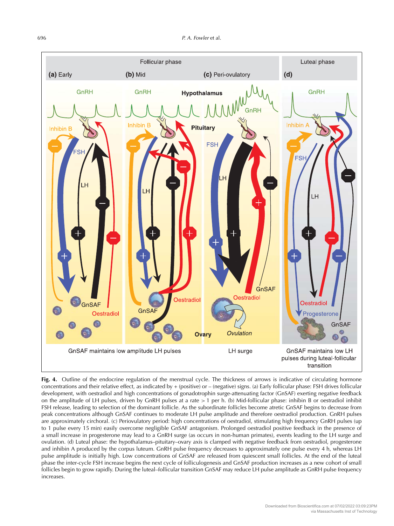

Fig. 4. Outline of the endocrine regulation of the menstrual cycle. The thickness of arrows is indicative of circulating hormone concentrations and their relative effect, as indicated by + (positive) or – (negative) signs. (a) Early follicular phase: FSH drives follicular development, with oestradiol and high concentrations of gonadotrophin surge-attenuating factor (GnSAF) exerting negative feedback on the amplitude of LH pulses, driven by GnRH pulses at a rate > 1 per h. (b) Mid-follicular phase: inhibin B or oestradiol inhibit FSH release, leading to selection of the dominant follicle. As the subordinate follicles become atretic GnSAF begins to decrease from peak concentrations although GnSAF continues to moderate LH pulse amplitude and therefore oestradiol production. GnRH pulses are approximately circhoral. (c) Periovulatory period: high concentrations of oestradiol, stimulating high frequency GnRH pulses (up to 1 pulse every 15 min) easily overcome negligible GnSAF antagonism. Prolonged oestradiol positive feedback in the presence of a small increase in progesterone may lead to a GnRH surge (as occurs in non-human primates), events leading to the LH surge and ovulation. (d) Luteal phase: the hypothalamus–pituitary–ovary axis is clamped with negative feedback from oestradiol, progesterone and inhibin A produced by the corpus luteum. GnRH pulse frequency decreases to approximately one pulse every 4 h, whereas LH pulse amplitude is initially high. Low concentrations of GnSAF are released from quiescent small follicles. At the end of the luteal phase the inter-cycle FSH increase begins the next cycle of folliculogenesis and GnSAF production increases as a new cohort of small follicles begin to grow rapidly. During the luteal-follicular transition GnSAF may reduce LH pulse amplitude as GnRH pulse frequency increases.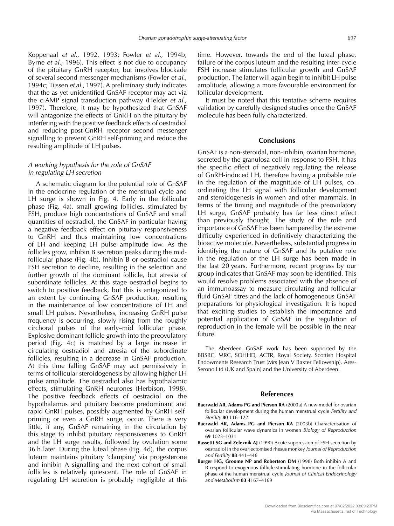Koppenaal et al., 1992, 1993; Fowler et al., 1994b; Byrne et al., 1996). This effect is not due to occupancy of the pituitary GnRH receptor, but involves blockade of several second messenger mechanisms (Fowler et al., 1994c; Tijssen et al., 1997). A preliminary study indicates that the as yet unidentified GnSAF receptor may act via the c-AMP signal transduction pathway (Helder et al., 1997). Therefore, it may be hypothesized that GnSAF will antagonize the effects of GnRH on the pituitary by interfering with the positive feedback effects of oestradiol and reducing post-GnRH receptor second messenger signalling to prevent GnRH self-priming and reduce the resulting amplitude of LH pulses.

## <sup>A</sup> working hypothesis for the role of GnSAF in regulating LH secretion

A schematic diagram for the potential role of GnSAF in the endocrine regulation of the menstrual cycle and LH surge is shown in Fig. 4. Early in the follicular phase (Fig. 4a), small growing follicles, stimulated by FSH, produce high concentrations of GnSAF and small quantities of oestradiol, the GnSAF in particular having a negative feedback effect on pituitary responsiveness to GnRH and thus maintaining low concentrations of LH and keeping LH pulse amplitude low. As the follicles grow, inhibin B secretion peaks during the midfollicular phase (Fig. 4b). Inhibin B or oestradiol cause FSH secretion to decline, resulting in the selection and further growth of the dominant follicle, but atresia of subordinate follicles. At this stage oestradiol begins to switch to positive feedback, but this is antagonized to an extent by continuing GnSAF production, resulting in the maintenance of low concentrations of LH and small LH pulses. Nevertheless, increasing GnRH pulse frequency is occurring, slowly rising from the roughly circhoral pulses of the early–mid follicular phase. Explosive dominant follicle growth into the preovulatory period (Fig. 4c) is matched by a large increase in circulating oestradiol and atresia of the subordinate follicles, resulting in a decrease in GnSAF production. At this time falling GnSAF may act permissively in terms of follicular steroidogenesis by allowing higher LH pulse amplitude. The oestradiol also has hypothalamic effects, stimulating GnRH neurones (Herbison, 1998). The positive feedback effects of oestradiol on the hypothalamus and pituitary become predominant and rapid GnRH pulses, possibly augmented by GnRH selfpriming or even a GnRH surge, occur. There is very little, if any, GnSAF remaining in the circulation by this stage to inhibit pituitary responsiveness to GnRH and the LH surge results, followed by ovulation some 36 h later. During the luteal phase (Fig. 4d), the corpus luteum maintains pituitary 'clamping' via progesterone and inhibin A signalling and the next cohort of small follicles is relatively quiescent. The role of GnSAF in regulating LH secretion is probably negligible at this

time. However, towards the end of the luteal phase, failure of the corpus luteum and the resulting inter-cycle FSH increase stimulates follicular growth and GnSAF production. The latter will again begin to inhibit LH pulse amplitude, allowing a more favourable environment for follicular development.

It must be noted that this tentative scheme requires validation by carefully designed studies once the GnSAF molecule has been fully characterized.

## **Conclusions**

GnSAF is a non-steroidal, non-inhibin, ovarian hormone, secreted by the granulosa cell in response to FSH. It has the specific effect of negatively regulating the release of GnRH-induced LH, therefore having a probable role in the regulation of the magnitude of LH pulses, coordinating the LH signal with follicular development and steroidogenesis in women and other mammals. In terms of the timing and magnitude of the preovulatory LH surge, GnSAF probably has far less direct effect than previously thought. The study of the role and importance of GnSAF has been hampered by the extreme difficulty experienced in definitively characterizing the bioactive molecule. Nevertheless, substantial progress in identifying the nature of GnSAF and its putative role in the regulation of the LH surge has been made in the last 20 years. Furthermore, recent progress by our group indicates that GnSAF may soon be identified. This would resolve problems associated with the absence of an immunoassay to measure circulating and follicular fluid GnSAF titres and the lack of homogeneous GnSAF preparations for physiological investigation. It is hoped that exciting studies to establish the importance and potential application of GnSAF in the regulation of reproduction in the female will be possible in the near future.

The Aberdeen GnSAF work has been supported by the BBSRC, MRC, SOHHD, ACTR, Royal Society, Scottish Hospital Endowments Research Trust (Mrs Jean V Baxter Fellowship), Ares-Serono Ltd (UK and Spain) and the University of Aberdeen.

#### **References**

- **Baerwald AR, Adams PG and Pierson RA** (2003a) A new model for ovarian follicular development during the human menstrual cycle Fertility and Sterility **80** 116–122
- **Baerwald AR, Adams PG and Pierson RA** (2003b) Characterisation of ovarian follicular wave dynamics in women Biology of Reproduction **69** 1023–1031
- **Bassettt SG and Zeleznik AJ** (1990) Acute suppression of FSH secretion by oestradiol in the ovariectomised rhesus monkey Journal of Reproduction and Fertility **88** 441–446
- **Burger HG, Groome NP and Robertson DM** (1998) Both inhibin A and B respond to exogenous follicle-stimulating hormone in the follicular phase of the human menstrual cycle Journal of Clinical Endocrinology and Metabolism **83** 4167–4169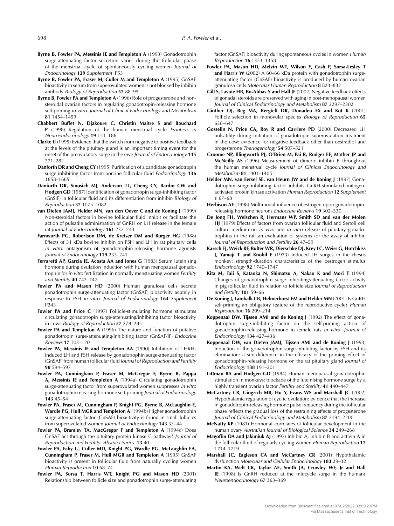- **Byrne B, Fowler PA, Messinis IE and Templeton A** (1993) Gonadotrophin surge-attenuating factor secretion varies during the follicular phase of the menstrual cycle of spontaneously cycling women Journal of Endocrinology **139** Supplement P53
- **Byrne B, Fowler PA, Fraser M, Culler M and Templeton A** (1995) GnSAF bioactivity in serum from superovulated women is not blocked by inhibin antibody Biology of Reproduction **52** 88–95
- **Byrne B, Fowler PA and Templeton A** (1996) Role of progesterone and nonsteroidal ovarian factors in regulating gonadotropin-releasing hormone self-priming in vitro. Journal of Clinical Endocrinology and Metabolism **81** 1454–1459
- **Chabbert Buffet N, Djakoure C, Christin Maitre S and Bouchard P** (1998) Regulation of the human menstrual cycle Frontiers in Neuroendocrinology **19** 151–186
- **Clarke IJ** (1995) Evidence that the switch from negative to positive feedback at the levels of the pituitary gland is an important timing event for the onset of the preovulatory surge in the ewe Journal of Endocrinology **145** 271–282
- **Danforth DR and Cheng CY** (1995) Purification of a candidate gonadotropin surge inhibiting factor from porcine follicular fluid Endocrinology **136** 1658–1665
- **Danforth DR, Sinosich MJ, Anderson TL, Cheng CY, Bardin CW and Hodgen GD** (1987) Identification of gonadotropin surge-inhibiting factor (GnSIF) in follicular fluid and its differentiation from inhibin Biology of Reproduction **37** 1075–1082
- **van Dieten JAMJ, Helder MN, van den Oever C and de Koning J** (1999) Non-steroidal factors in bovine follicular fluid inhibit or facilitate the action of pulsatile administration of GnRH on LH release in the female rat Journal of Endocrinology **161** 237–243
- **Farnworth PG, Robertson DM, de Kretser DM and Burger HG** (1988) Effects of 31 kDa bovine inhibin on FSH and LH in rat pituitary cells in vitro: antagonism of gonadotrophin-releasing hormone agonists Journal of Endocrinology **119** 233–241
- **Ferraretti AP, Garcia JE, Acosta AA and Jones G** (1983) Serum luteinising hormone during ovulation induction with human menopausal gonadotrophin for in vitro fertilization in normally menstruating women Fertility and Sterility **40** 742–747
- **Fowler PA and Mason HD** (2000) Human granulosa cells secrete gonadotrophin surge-attenuating factor (GnSAF) bioactivity acutely in response to FSH in vitro. Journal of Endocrinology **164** Supplement P243
- **Fowler PA and Price C** (1997) Follicle-stimulating hormone stimulates circulating gonadotropin surge-attenuating/inhibiting factor bioactivity in cows Biology of Reproduction **57** 278–285
- **Fowler PA and Templeton A** (1996) The nature and function of putative gonadotropin surge-attenuating/inhibiting factor (GnSAF/IF) Endocrine Reviews **17** 103–120
- **Fowler PA, Messinis IE and Templeton AA** (1990) Inhibition of LHRHinduced LH and FSH release by gonadotrophin surge-attenuating factor (GnSAF) from human follicular fluid Journal of Reproduction and Fertility **90** 594–597
- **Fowler PA, Cunningham P, Fraser M, McGregor F, Byrne B, Pappa A, Messinis IE and Templeton A** (1994a) Circulating gonadotrophin surge-attenuating factor from superovulated women suppresses in vitro gonadotrophin releasing-hormone self-priming Journal of Endocrinology **143** 45–54
- **Fowler PA, Fraser M, Cunningham P, Knight PG, Byrne B, McLaughlin E, Wardle PG, Hull MGR and Templeton A** (1994b) Higher gonadotrophin surge-attenuating factor (GnSAF) bioactivity is found in small follicles from superovulated women Journal of Endocrinology **143** 33–44
- **Fowler PA, Bramley TA, MacGregor F and Templeton A** (1994c) Does GnSAF act through the pituitary protein kinase C pathway? Journal of Reproduction and Fertility Abstract Series **13** 40
- **Fowler PA, Fahy U, Culler MD, Knight PG, Wardle PG, McLaughlin EA, Cunningham P, Fraser M, Hull MGR and Templeton A** (1995) GnSAF bioactivity is present in follicular fluid from naturally cycling women Human Reproduction **10** 68–74
- **Fowler PA, Sorsa T, Harris WT, Knight PG and Mason HD** (2001) Relationship between follicle size and gonadotrophin surge-attenuating

factor (GnSAF) bioactivity during spontaneous cycles in women Human Reproduction **16** 1353–1358

- **Fowler PA, Mason HD, Melvin WT, Wilson Y, Cash P, Sorsa-Lesley T** and Harris W (2002) A 60-66 kDa protein with gonadotrophin surgeattenuating factor (GnSAF) bioactivity is produced by human ovarian granulosa cells Molecular Human Reproduction **8** 823–832
- **Gill S, Lavoie HB, Bo-Abbas Y and Hall JE** (2002) Negative feedback effects of gonadal steroids are preserved with aging in post-menopausal women Journal of Clinical Endocrinology and Metabolism **87** 2297–2302
- **Ginther OJ, Beg MA, Bergfelt DR, Donadeu FX and Kot K** (2001) Follicle selection in monovular species Biology of Reproduction **65** 638–647
- **Gosselin N, Price CA, Roy R and Carriere PD** (2000) Decreased LH pulsatility during initiation of gonadotropin superovulation treatment in the cow: evidence for negative feedback other than oestradiol and progesterone Theriogenology **54** 507–521
- **Groome NP, Illingworth PJ, O'Brien M, Pai R, Rodger FE, Mather JP and McNeilly AS** (1996) Measurement of dimeric inhibin B throughout the human menstrual cycle Journal of Clinical Endocrinology and Metabolism **81** 1401–1405
- **Helder MN, van Eersel SE, van Heurn JW and de Koning J** (1997) Gonadotrophin surge-inhibiting factor inhibits GnRH-stimulated mitogenactivated protein kinase activation Human Reproduction **12** Supplement **1** 67–68
- **Herbison AE** (1998) Multimodal influence of estrogen upon gonadotropinreleasing hormone neurons Endocrine Reviews **19** 302–330
- **De Jong FH, Welschen R, Hermans WP, Smith SD and van der Molen HJ** (1979) Effects of factors from ovarian follicular fluid and Sertoli cell culture medium on in vivo and in vitro release of pituitary gonadotrophins in the rat: an evaluation of systems for the assay of inhibin Journal of Reproduction and Fertility **26** 47–59
- **Karsch FJ, Weick RF, Bulter WR, Dierschke DJ, Krey LC, Weiss G, Hotchkiss J, Yamaji T and Knobil E** (1973) Induced LH surges in the rhesus monkey: strength-duration characteristics of the oestrogen stimulus Endocrinology **92** 1740–1747
- **Kita M, Taii S, Kataoka N, Shimatsu A, Nakao K and Mori T** (1994) Changes of gonadotrophin surge inhibiting/attenuating factor activity in pig follicular fluid in relation to follicle size Journal of Reproduction and Fertility **101** 59–66
- **De Koning J, Lambalk CB, Helmerhorst FM and Helder MN** (2001) Is GnRH self-priming an obligatory feature of the reproductive cycle? Human Reproduction **16** 209–214
- **Koppenaal DW, Tijssen AMI and de Koning J** (1992) The effect of gonadotrophin surge-inhibiting factor on the self-priming action of gonadotrophin-releasing hormone in female rats in vitro. Journal of Endocrinology **134** 427–436
- **Koppenaal DW, van Dieten JAMJ, Tijssen AMI and de Koning J** (1993) Induction of the gonadotrophin surge-inhibiting factor by FSH and its elimination: a sex difference in the efficacy of the priming effect of gonadotrophin-releasing hormone on the rat pituitary gland Journal of Endocrinology **138** 191–201
- **Littman BA and Hodgen GD** (1984) Human menopausal gonadotrophin stimulation in monkeys: blockade of the luteinising hormone surge by a highly transient ovarian factor Fertility and Sterility **41** 440–447
- **McCartney CR, Gingrich MB, Hu Y, Evans WS and Marshall JC** (2002) Hypothalamic regulation of cyclic ovulation: evidence that the increase in gonadotropin-releasing hormone pulse frequency during the follicular phase reflects the gradual loss of the restraining effects of progesterone Journal of Clinical Endocrinology and Metabolism **87** 2194–2200
- **McNatty KP** (1981) Hormonal correlates of follicular development in the human ovary Australian Journal of Biological Science **34** 249–268
- **Magoffin DA and Jakimiuk AJ** (1997) Inhibin A, inhibin B and activin A in the follicular fluid of regularly cycling women Human Reproduction **12** 1714–1719
- **Marshall JC, Eagleson CA and McCartney CR** (2001) Hypothalamic dysfunction Molecular and Cellular Endocrinology **183** 29–32
- **Martin KA, Welt CK, Taylor AE, Smith JA, Crowley WF, Jr and Hall JE** (1998) Is GnRH reduced at the midcycle surge in the human? Neuroendocrinology **67** 363–369